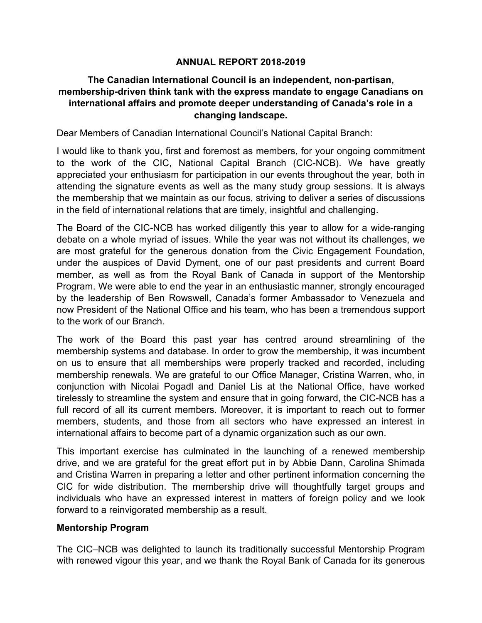# **ANNUAL REPORT 2018-2019**

# **The Canadian International Council is an independent, non-partisan, membership-driven think tank with the express mandate to engage Canadians on international affairs and promote deeper understanding of Canada's role in a changing landscape.**

Dear Members of Canadian International Council's National Capital Branch:

I would like to thank you, first and foremost as members, for your ongoing commitment to the work of the CIC, National Capital Branch (CIC-NCB). We have greatly appreciated your enthusiasm for participation in our events throughout the year, both in attending the signature events as well as the many study group sessions. It is always the membership that we maintain as our focus, striving to deliver a series of discussions in the field of international relations that are timely, insightful and challenging.

The Board of the CIC-NCB has worked diligently this year to allow for a wide-ranging debate on a whole myriad of issues. While the year was not without its challenges, we are most grateful for the generous donation from the Civic Engagement Foundation, under the auspices of David Dyment, one of our past presidents and current Board member, as well as from the Royal Bank of Canada in support of the Mentorship Program. We were able to end the year in an enthusiastic manner, strongly encouraged by the leadership of Ben Rowswell, Canada's former Ambassador to Venezuela and now President of the National Office and his team, who has been a tremendous support to the work of our Branch.

The work of the Board this past year has centred around streamlining of the membership systems and database. In order to grow the membership, it was incumbent on us to ensure that all memberships were properly tracked and recorded, including membership renewals. We are grateful to our Office Manager, Cristina Warren, who, in conjunction with Nicolai Pogadl and Daniel Lis at the National Office, have worked tirelessly to streamline the system and ensure that in going forward, the CIC-NCB has a full record of all its current members. Moreover, it is important to reach out to former members, students, and those from all sectors who have expressed an interest in international affairs to become part of a dynamic organization such as our own.

This important exercise has culminated in the launching of a renewed membership drive, and we are grateful for the great effort put in by Abbie Dann, Carolina Shimada and Cristina Warren in preparing a letter and other pertinent information concerning the CIC for wide distribution. The membership drive will thoughtfully target groups and individuals who have an expressed interest in matters of foreign policy and we look forward to a reinvigorated membership as a result.

# **Mentorship Program**

The CIC–NCB was delighted to launch its traditionally successful Mentorship Program with renewed vigour this year, and we thank the Royal Bank of Canada for its generous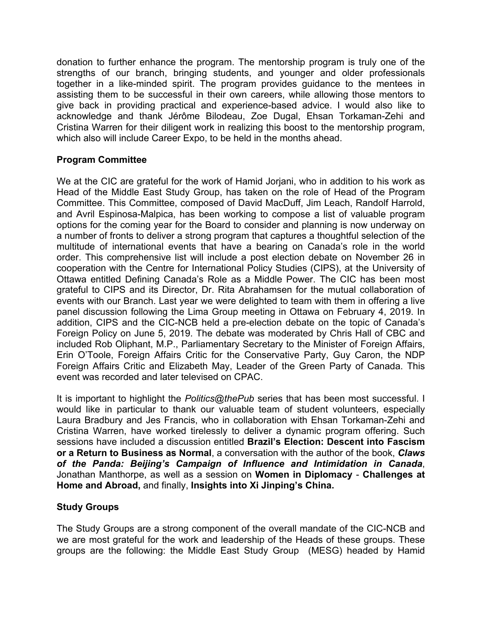donation to further enhance the program. The mentorship program is truly one of the strengths of our branch, bringing students, and younger and older professionals together in a like-minded spirit. The program provides guidance to the mentees in assisting them to be successful in their own careers, while allowing those mentors to give back in providing practical and experience-based advice. I would also like to acknowledge and thank Jérôme Bilodeau, Zoe Dugal, Ehsan Torkaman-Zehi and Cristina Warren for their diligent work in realizing this boost to the mentorship program, which also will include Career Expo, to be held in the months ahead.

# **Program Committee**

We at the CIC are grateful for the work of Hamid Jorjani, who in addition to his work as Head of the Middle East Study Group, has taken on the role of Head of the Program Committee. This Committee, composed of David MacDuff, Jim Leach, Randolf Harrold, and Avril Espinosa-Malpica, has been working to compose a list of valuable program options for the coming year for the Board to consider and planning is now underway on a number of fronts to deliver a strong program that captures a thoughtful selection of the multitude of international events that have a bearing on Canada's role in the world order. This comprehensive list will include a post election debate on November 26 in cooperation with the Centre for International Policy Studies (CIPS), at the University of Ottawa entitled Defining Canada's Role as a Middle Power. The CIC has been most grateful to CIPS and its Director, Dr. Rita Abrahamsen for the mutual collaboration of events with our Branch. Last year we were delighted to team with them in offering a live panel discussion following the Lima Group meeting in Ottawa on February 4, 2019. In addition, CIPS and the CIC-NCB held a pre-election debate on the topic of Canada's Foreign Policy on June 5, 2019. The debate was moderated by Chris Hall of CBC and included Rob Oliphant, M.P., Parliamentary Secretary to the Minister of Foreign Affairs, Erin O'Toole, Foreign Affairs Critic for the Conservative Party, Guy Caron, the NDP Foreign Affairs Critic and Elizabeth May, Leader of the Green Party of Canada. This event was recorded and later televised on CPAC.

It is important to highlight the *Politics@thePub* series that has been most successful. I would like in particular to thank our valuable team of student volunteers, especially Laura Bradbury and Jes Francis, who in collaboration with Ehsan Torkaman-Zehi and Cristina Warren, have worked tirelessly to deliver a dynamic program offering. Such sessions have included a discussion entitled **Brazil's Election: Descent into Fascism or a Return to Business as Normal**, a conversation with the author of the book, *Claws of the Panda: Beijing's Campaign of Influence and Intimidation in Canada*, Jonathan Manthorpe, as well as a session on **Women in Diplomacy** - **Challenges at Home and Abroad,** and finally, **Insights into Xi Jinping's China.**

# **Study Groups**

The Study Groups are a strong component of the overall mandate of the CIC-NCB and we are most grateful for the work and leadership of the Heads of these groups. These groups are the following: the Middle East Study Group (MESG) headed by Hamid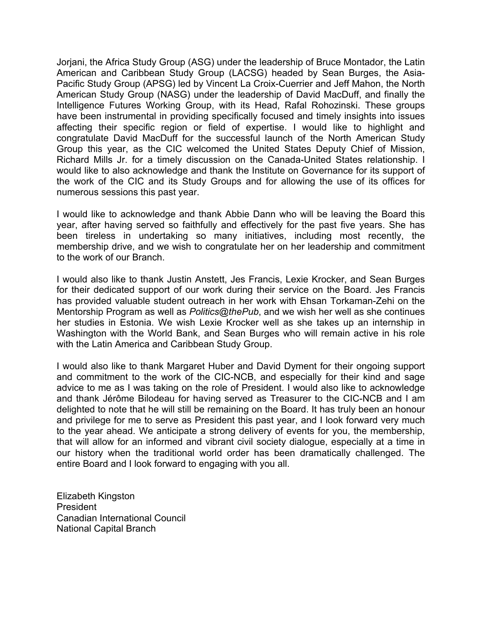Jorjani, the Africa Study Group (ASG) under the leadership of Bruce Montador, the Latin American and Caribbean Study Group (LACSG) headed by Sean Burges, the Asia-Pacific Study Group (APSG) led by Vincent La Croix-Cuerrier and Jeff Mahon, the North American Study Group (NASG) under the leadership of David MacDuff, and finally the Intelligence Futures Working Group, with its Head, Rafal Rohozinski. These groups have been instrumental in providing specifically focused and timely insights into issues affecting their specific region or field of expertise. I would like to highlight and congratulate David MacDuff for the successful launch of the North American Study Group this year, as the CIC welcomed the United States Deputy Chief of Mission, Richard Mills Jr. for a timely discussion on the Canada-United States relationship. I would like to also acknowledge and thank the Institute on Governance for its support of the work of the CIC and its Study Groups and for allowing the use of its offices for numerous sessions this past year.

I would like to acknowledge and thank Abbie Dann who will be leaving the Board this year, after having served so faithfully and effectively for the past five years. She has been tireless in undertaking so many initiatives, including most recently, the membership drive, and we wish to congratulate her on her leadership and commitment to the work of our Branch.

I would also like to thank Justin Anstett, Jes Francis, Lexie Krocker, and Sean Burges for their dedicated support of our work during their service on the Board. Jes Francis has provided valuable student outreach in her work with Ehsan Torkaman-Zehi on the Mentorship Program as well as *Politics@thePub*, and we wish her well as she continues her studies in Estonia. We wish Lexie Krocker well as she takes up an internship in Washington with the World Bank, and Sean Burges who will remain active in his role with the Latin America and Caribbean Study Group.

I would also like to thank Margaret Huber and David Dyment for their ongoing support and commitment to the work of the CIC-NCB, and especially for their kind and sage advice to me as I was taking on the role of President. I would also like to acknowledge and thank Jérôme Bilodeau for having served as Treasurer to the CIC-NCB and I am delighted to note that he will still be remaining on the Board. It has truly been an honour and privilege for me to serve as President this past year, and I look forward very much to the year ahead. We anticipate a strong delivery of events for you, the membership, that will allow for an informed and vibrant civil society dialogue, especially at a time in our history when the traditional world order has been dramatically challenged. The entire Board and I look forward to engaging with you all.

Elizabeth Kingston President Canadian International Council National Capital Branch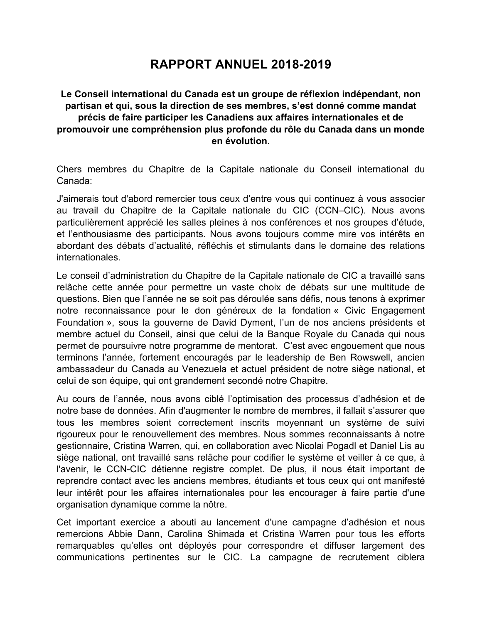# **RAPPORT ANNUEL 2018-2019**

# **Le Conseil international du Canada est un groupe de réflexion indépendant, non partisan et qui, sous la direction de ses membres, s'est donné comme mandat précis de faire participer les Canadiens aux affaires internationales et de promouvoir une compréhension plus profonde du rôle du Canada dans un monde en évolution.**

Chers membres du Chapitre de la Capitale nationale du Conseil international du Canada:

J'aimerais tout d'abord remercier tous ceux d'entre vous qui continuez à vous associer au travail du Chapitre de la Capitale nationale du CIC (CCN–CIC). Nous avons particulièrement apprécié les salles pleines à nos conférences et nos groupes d'étude, et l'enthousiasme des participants. Nous avons toujours comme mire vos intérêts en abordant des débats d'actualité, réfléchis et stimulants dans le domaine des relations internationales.

Le conseil d'administration du Chapitre de la Capitale nationale de CIC a travaillé sans relâche cette année pour permettre un vaste choix de débats sur une multitude de questions. Bien que l'année ne se soit pas déroulée sans défis, nous tenons à exprimer notre reconnaissance pour le don généreux de la fondation « Civic Engagement Foundation », sous la gouverne de David Dyment, l'un de nos anciens présidents et membre actuel du Conseil, ainsi que celui de la Banque Royale du Canada qui nous permet de poursuivre notre programme de mentorat. C'est avec engouement que nous terminons l'année, fortement encouragés par le leadership de Ben Rowswell, ancien ambassadeur du Canada au Venezuela et actuel président de notre siège national, et celui de son équipe, qui ont grandement secondé notre Chapitre.

Au cours de l'année, nous avons ciblé l'optimisation des processus d'adhésion et de notre base de données. Afin d'augmenter le nombre de membres, il fallait s'assurer que tous les membres soient correctement inscrits moyennant un système de suivi rigoureux pour le renouvellement des membres. Nous sommes reconnaissants à notre gestionnaire, Cristina Warren, qui, en collaboration avec Nicolai Pogadl et Daniel Lis au siège national, ont travaillé sans relâche pour codifier le système et veiller à ce que, à l'avenir, le CCN-CIC détienne registre complet. De plus, il nous était important de reprendre contact avec les anciens membres, étudiants et tous ceux qui ont manifesté leur intérêt pour les affaires internationales pour les encourager à faire partie d'une organisation dynamique comme la nôtre.

Cet important exercice a abouti au lancement d'une campagne d'adhésion et nous remercions Abbie Dann, Carolina Shimada et Cristina Warren pour tous les efforts remarquables qu'elles ont déployés pour correspondre et diffuser largement des communications pertinentes sur le CIC. La campagne de recrutement ciblera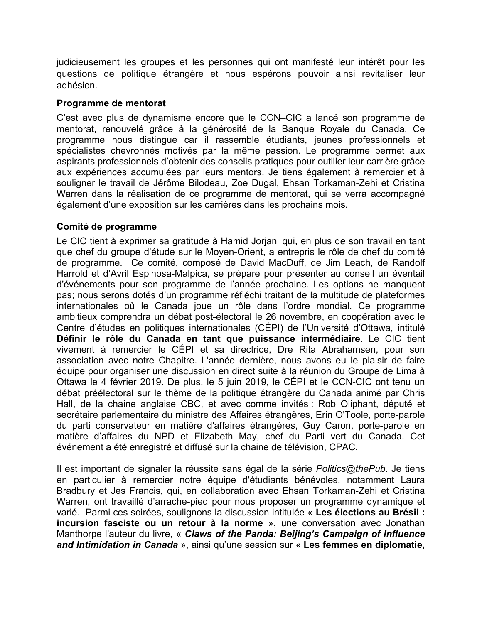judicieusement les groupes et les personnes qui ont manifesté leur intérêt pour les questions de politique étrangère et nous espérons pouvoir ainsi revitaliser leur adhésion.

### **Programme de mentorat**

C'est avec plus de dynamisme encore que le CCN–CIC a lancé son programme de mentorat, renouvelé grâce à la générosité de la Banque Royale du Canada. Ce programme nous distingue car il rassemble étudiants, jeunes professionnels et spécialistes chevronnés motivés par la même passion. Le programme permet aux aspirants professionnels d'obtenir des conseils pratiques pour outiller leur carrière grâce aux expériences accumulées par leurs mentors. Je tiens également à remercier et à souligner le travail de Jérôme Bilodeau, Zoe Dugal, Ehsan Torkaman-Zehi et Cristina Warren dans la réalisation de ce programme de mentorat, qui se verra accompagné également d'une exposition sur les carrières dans les prochains mois.

# **Comité de programme**

Le CIC tient à exprimer sa gratitude à Hamid Jorjani qui, en plus de son travail en tant que chef du groupe d'étude sur le Moyen-Orient, a entrepris le rôle de chef du comité de programme. Ce comité, composé de David MacDuff, de Jim Leach, de Randolf Harrold et d'Avril Espinosa-Malpica, se prépare pour présenter au conseil un éventail d'événements pour son programme de l'année prochaine. Les options ne manquent pas; nous serons dotés d'un programme réfléchi traitant de la multitude de plateformes internationales où le Canada joue un rôle dans l'ordre mondial. Ce programme ambitieux comprendra un débat post-électoral le 26 novembre, en coopération avec le Centre d'études en politiques internationales (CÉPI) de l'Université d'Ottawa, intitulé **Définir le rôle du Canada en tant que puissance intermédiaire**. Le CIC tient vivement à remercier le CÉPI et sa directrice, Dre Rita Abrahamsen, pour son association avec notre Chapitre. L'année dernière, nous avons eu le plaisir de faire équipe pour organiser une discussion en direct suite à la réunion du Groupe de Lima à Ottawa le 4 février 2019. De plus, le 5 juin 2019, le CÉPI et le CCN-CIC ont tenu un débat préélectoral sur le thème de la politique étrangère du Canada animé par Chris Hall, de la chaine anglaise CBC, et avec comme invités : Rob Oliphant, député et secrétaire parlementaire du ministre des Affaires étrangères, Erin O'Toole, porte-parole du parti conservateur en matière d'affaires étrangères, Guy Caron, porte-parole en matière d'affaires du NPD et Elizabeth May, chef du Parti vert du Canada. Cet événement a été enregistré et diffusé sur la chaine de télévision, CPAC.

Il est important de signaler la réussite sans égal de la série *Politics@thePub*. Je tiens en particulier à remercier notre équipe d'étudiants bénévoles, notamment Laura Bradbury et Jes Francis, qui, en collaboration avec Ehsan Torkaman-Zehi et Cristina Warren, ont travaillé d'arrache-pied pour nous proposer un programme dynamique et varié. Parmi ces soirées, soulignons la discussion intitulée « **Les élections au Brésil : incursion fasciste ou un retour à la norme** », une conversation avec Jonathan Manthorpe l'auteur du livre, « *Claws of the Panda: Beijing's Campaign of Influence and Intimidation in Canada* », ainsi qu'une session sur « **Les femmes en diplomatie,**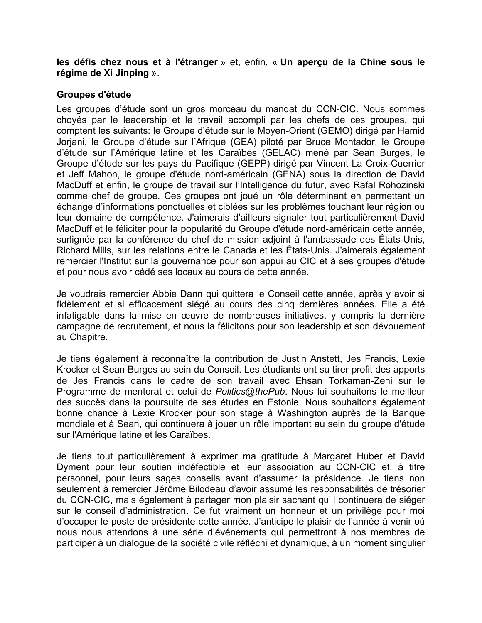**les défis chez nous et à l'étranger** » et, enfin, « **Un aperçu de la Chine sous le régime de Xi Jinping** ».

#### **Groupes d'étude**

Les groupes d'étude sont un gros morceau du mandat du CCN-CIC. Nous sommes choyés par le leadership et le travail accompli par les chefs de ces groupes, qui comptent les suivants: le Groupe d'étude sur le Moyen-Orient (GEMO) dirigé par Hamid Jorjani, le Groupe d'étude sur l'Afrique (GEA) piloté par Bruce Montador, le Groupe d'étude sur l'Amérique latine et les Caraïbes (GELAC) mené par Sean Burges, le Groupe d'étude sur les pays du Pacifique (GEPP) dirigé par Vincent La Croix-Cuerrier et Jeff Mahon, le groupe d'étude nord-américain (GENA) sous la direction de David MacDuff et enfin, le groupe de travail sur l'Intelligence du futur, avec Rafal Rohozinski comme chef de groupe. Ces groupes ont joué un rôle déterminant en permettant un échange d'informations ponctuelles et ciblées sur les problèmes touchant leur région ou leur domaine de compétence. J'aimerais d'ailleurs signaler tout particulièrement David MacDuff et le féliciter pour la popularité du Groupe d'étude nord-américain cette année, surlignée par la conférence du chef de mission adjoint à l'ambassade des États-Unis, Richard Mills, sur les relations entre le Canada et les États-Unis. J'aimerais également remercier l'Institut sur la gouvernance pour son appui au CIC et à ses groupes d'étude et pour nous avoir cédé ses locaux au cours de cette année.

Je voudrais remercier Abbie Dann qui quittera le Conseil cette année, après y avoir si fidèlement et si efficacement siégé au cours des cinq dernières années. Elle a été infatigable dans la mise en œuvre de nombreuses initiatives, y compris la dernière campagne de recrutement, et nous la félicitons pour son leadership et son dévouement au Chapitre.

Je tiens également à reconnaître la contribution de Justin Anstett, Jes Francis, Lexie Krocker et Sean Burges au sein du Conseil. Les étudiants ont su tirer profit des apports de Jes Francis dans le cadre de son travail avec Ehsan Torkaman-Zehi sur le Programme de mentorat et celui de *Politics@thePub*. Nous lui souhaitons le meilleur des succès dans la poursuite de ses études en Estonie. Nous souhaitons également bonne chance à Lexie Krocker pour son stage à Washington auprès de la Banque mondiale et à Sean, qui continuera à jouer un rôle important au sein du groupe d'étude sur l'Amérique latine et les Caraïbes.

Je tiens tout particulièrement à exprimer ma gratitude à Margaret Huber et David Dyment pour leur soutien indéfectible et leur association au CCN-CIC et, à titre personnel, pour leurs sages conseils avant d'assumer la présidence. Je tiens non seulement à remercier Jérôme Bilodeau d'avoir assumé les responsabilités de trésorier du CCN-CIC, mais également à partager mon plaisir sachant qu'il continuera de siéger sur le conseil d'administration. Ce fut vraiment un honneur et un privilège pour moi d'occuper le poste de présidente cette année. J'anticipe le plaisir de l'année à venir où nous nous attendons à une série d'événements qui permettront à nos membres de participer à un dialogue de la société civile réfléchi et dynamique, à un moment singulier